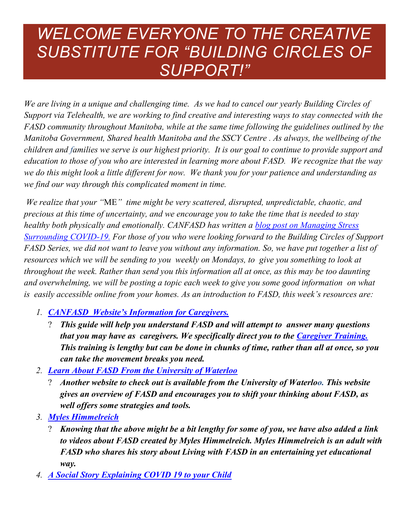## *WELCOME EVERYONE TO THE CREATIVE SUBSTITUTE FOR "BUILDING CIRCLES OF SUPPORT!"*

*We are living in a unique and challenging time. As we had to cancel our yearly Building Circles of Support via Telehealth, we are working to find creative and interesting ways to stay connected with the FASD community throughout Manitoba, while at the same time following the guidelines outlined by the Manitoba Government, Shared health Manitoba and the SSCY Centre . As always, the wellbeing of the children and families we serve is our highest priority. It is our goal to continue to provide support and education to those of you who are interested in learning more about FASD. We recognize that the way we do this might look a little different for now. We thank you for your patience and understanding as we find our way through this complicated moment in time.* 

*We realize that your "*ME*" time might be very scattered, disrupted, unpredictable, chaotic, and precious at this time of uncertainty, and we encourage you to take the time that is needed to stay healthy both physically and emotionally. CANFASD has written a [blog post on Managing Stress](https://canfasdblog.com/2020/03/18/managing-stress-surrounding-covid-19/)  [Surrounding COVID-19.](https://canfasdblog.com/2020/03/18/managing-stress-surrounding-covid-19/) For those of you who were looking forward to the Building Circles of Support FASD Series, we did not want to leave you without any information. So, we have put together a list of resources which we will be sending to you weekly on Mondays, to give you something to look at throughout the week. Rather than send you this information all at once, as this may be too daunting and overwhelming, we will be posting a topic each week to give you some good information on what is easily accessible online from your homes. As an introduction to FASD, this week's resources are:*

- *1. CANFASD [Website's Information for Caregivers.](https://canfasd.ca/caregivers/information-for-caregivers/)*
	- " *This guide will help you understand FASD and will attempt to answer many questions that you may have as caregivers. We specifically direct you to the [Caregiver Training.](https://www.childwelfareinstitute.torontocas.ca/training) This training is lengthy but can be done in chunks of time, rather than all at once, so you can take the movement breaks you need.*
- *2. [Learn About FASD From the University of Waterloo](https://www.fasdwaterlooregion.ca/learn-about-fasd)*
	- " *Another website to check out is available from the University of Waterloo. This website gives an overview of FASD and encourages you to shift your thinking about FASD, as well offers some strategies and tools.*
- *3. [Myles Himmelreich](https://www.myleshimmelreich.com/videos)*
	- " *Knowing that the above might be a bit lengthy for some of you, we have also added a link to videos about FASD created by Myles Himmelreich. Myles Himmelreich is an adult with FASD who shares his story about Living with FASD in an entertaining yet educational way.*
- *4. [A Social Story Explaining COVID 19 to your Child](http://qrcgcustomers.s3-eu-west-1.amazonaws.com/account4876975/6615282_1.pdf?0.36536573196742217)*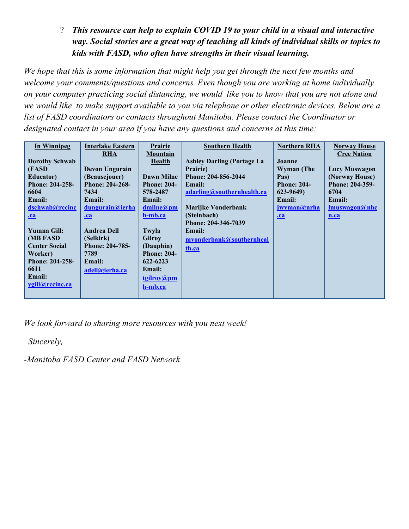" *This resource can help to explain COVID 19 to your child in a visual and interactive way. Social stories are a great way of teaching all kinds of individual skills or topics to kids with FASD, who often have strengths in their visual learning.*

*We hope that this is some information that might help you get through the next few months and welcome your comments/questions and concerns. Even though you are working at home individually on your computer practicing social distancing, we would like you to know that you are not alone and we would like to make support available to you via telephone or other electronic devices. Below are a list of FASD coordinators or contacts throughout Manitoba. Please contact the Coordinator or designated contact in your area if you have any questions and concerns at this time:*

*We look forward to sharing more resources with you next week!* 

*Sincerely,*

*-Manitoba FASD Center and FASD Network*